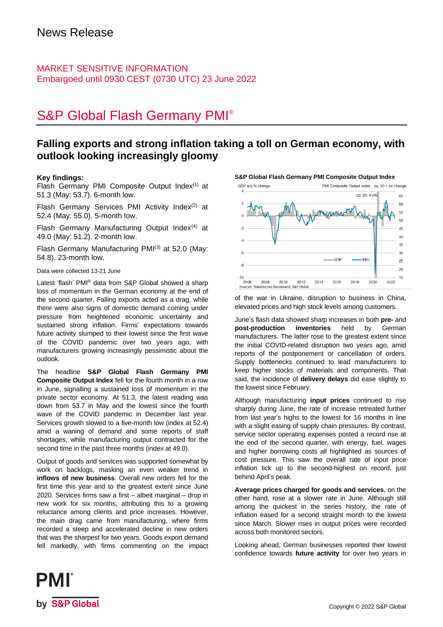### MARKET SENSITIVE INFORMATION Embargoed until 0930 CEST (0730 UTC) 23 June 2022

# S&P Global Flash Germany PMI®

## **Falling exports and strong inflation taking a toll on German economy, with outlook looking increasingly gloomy**

#### **Key findings:**

Flash Germany PMI Composite Output Index<sup>(1)</sup> at 51.3 (May: 53.7). 6-month low.

Flash Germany Services PMI Activity Index $(2)$  at 52.4 (May: 55.0). 5-month low.

Flash Germany Manufacturing Output Index $(4)$  at 49.0 (May: 51.2). 2-month low.

Flash Germany Manufacturing PMI<sup>(3)</sup> at 52.0 (May: 54.8). 23-month low.

Data were collected 13-21 June

Latest 'flash' PMI® data from S&P Global showed a sharp loss of momentum in the German economy at the end of the second quarter. Falling exports acted as a drag, while there were also signs of domestic demand coming under pressure from heightened economic uncertainty and sustained strong inflation. Firms' expectations towards future activity slumped to their lowest since the first wave of the COVID pandemic over two years ago, with manufacturers growing increasingly pessimistic about the outlook.

The headline **S&P Global Flash Germany PMI Composite Output Index** fell for the fourth month in a row in June, signalling a sustained loss of momentum in the private sector economy. At 51.3, the latest reading was down from 53.7 in May and the lowest since the fourth wave of the COVID pandemic in December last year. Services growth slowed to a five-month low (index at 52.4) amid a waning of demand and some reports of staff shortages, while manufacturing output contracted for the second time in the past three months (index at 49.0).

Output of goods and services was supported somewhat by work on backlogs, masking an even weaker trend in **inflows of new business**. Overall new orders fell for the first time this year and to the greatest extent since June 2020. Services firms saw a first – albeit marginal – drop in new work for six months, attributing this to a growing reluctance among clients and price increases. However, the main drag came from manufacturing, where firms recorded a steep and accelerated decline in new orders that was the sharpest for two years. Goods export demand fell markedly, with firms commenting on the impact



**S&P Global Flash Germany PMI Composite Output Index**

of the war in Ukraine, disruption to business in China, elevated prices and high stock levels among customers.

June's flash data showed sharp increases in both **pre-** and **post-production inventories** held by German manufacturers. The latter rose to the greatest extent since the initial COVID-related disruption two years ago, amid reports of the postponement or cancellation of orders. Supply bottlenecks continued to lead manufacturers to keep higher stocks of materials and components. That said, the incidence of **delivery delays** did ease slightly to the lowest since February.

Although manufacturing **input prices** continued to rise sharply during June, the rate of increase retreated further from last year's highs to the lowest for 16 months in line with a slight easing of supply chain pressures. By contrast, service sector operating expenses posted a record rise at the end of the second quarter, with energy, fuel, wages and higher borrowing costs all highlighted as sources of cost pressure. This saw the overall rate of input price inflation tick up to the second-highest on record, just behind April's peak.

**Average prices charged for goods and services**, on the other hand, rose at a slower rate in June. Although still among the quickest in the series history, the rate of inflation eased for a second straight month to the lowest since March. Slower rises in output prices were recorded across both monitored sectors.

Looking ahead, German businesses reported their lowest confidence towards **future activity** for over two years in

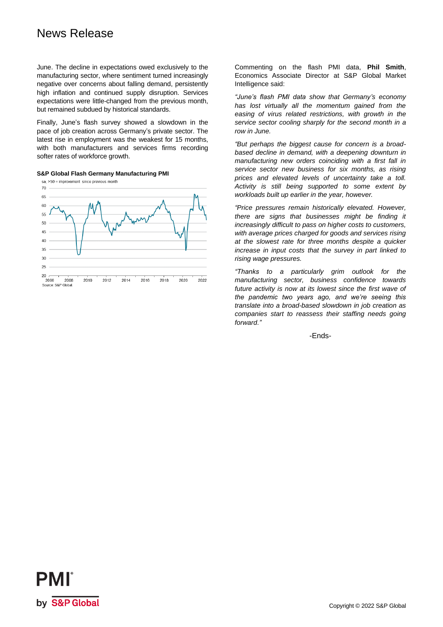## News Release

June. The decline in expectations owed exclusively to the manufacturing sector, where sentiment turned increasingly negative over concerns about falling demand, persistently high inflation and continued supply disruption. Services expectations were little-changed from the previous month, but remained subdued by historical standards.

Finally, June's flash survey showed a slowdown in the pace of job creation across Germany's private sector. The latest rise in employment was the weakest for 15 months, with both manufacturers and services firms recording softer rates of workforce growth.

**S&P Global Flash Germany Manufacturing PMI**



Commenting on the flash PMI data, **Phil Smith**, Economics Associate Director at S&P Global Market Intelligence said:

*"June's flash PMI data show that Germany's economy has lost virtually all the momentum gained from the easing of virus related restrictions, with growth in the service sector cooling sharply for the second month in a row in June.* 

*"But perhaps the biggest cause for concern is a broadbased decline in demand, with a deepening downturn in manufacturing new orders coinciding with a first fall in service sector new business for six months, as rising prices and elevated levels of uncertainty take a toll. Activity is still being supported to some extent by workloads built up earlier in the year, however.* 

*"Price pressures remain historically elevated. However, there are signs that businesses might be finding it increasingly difficult to pass on higher costs to customers, with average prices charged for goods and services rising at the slowest rate for three months despite a quicker increase in input costs that the survey in part linked to rising wage pressures.* 

*"Thanks to a particularly grim outlook for the manufacturing sector, business confidence towards future activity is now at its lowest since the first wave of the pandemic two years ago, and we're seeing this translate into a broad-based slowdown in job creation as companies start to reassess their staffing needs going forward."*

-Ends-